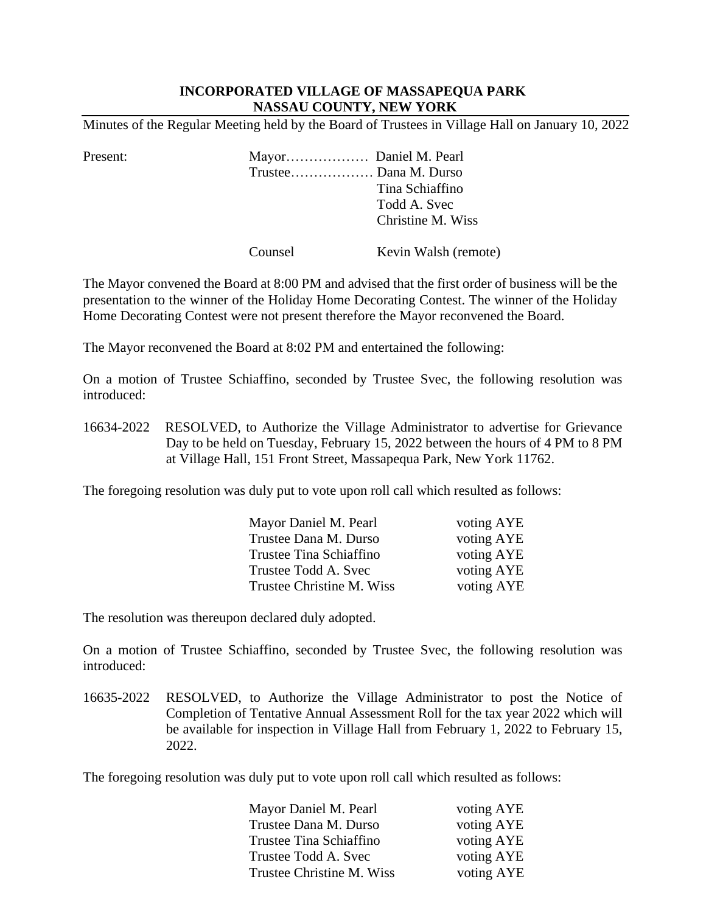## **INCORPORATED VILLAGE OF MASSAPEQUA PARK NASSAU COUNTY, NEW YORK**

Minutes of the Regular Meeting held by the Board of Trustees in Village Hall on January 10, 2022

Present: Mayor……………… Daniel M. Pearl Trustee……………… Dana M. Durso Tina Schiaffino Todd A. Svec Christine M. Wiss

Counsel Kevin Walsh (remote)

The Mayor convened the Board at 8:00 PM and advised that the first order of business will be the presentation to the winner of the Holiday Home Decorating Contest. The winner of the Holiday Home Decorating Contest were not present therefore the Mayor reconvened the Board.

The Mayor reconvened the Board at 8:02 PM and entertained the following:

 On a motion of Trustee Schiaffino, seconded by Trustee Svec, the following resolution was introduced:

 16634-2022 RESOLVED, to Authorize the Village Administrator to advertise for Grievance Day to be held on Tuesday, February 15, 2022 between the hours of 4 PM to 8 PM at Village Hall, 151 Front Street, Massapequa Park, New York 11762.

The foregoing resolution was duly put to vote upon roll call which resulted as follows:

| Mayor Daniel M. Pearl<br>voting AYE     |
|-----------------------------------------|
| voting AYE<br>Trustee Dana M. Durso     |
| voting AYE<br>Trustee Tina Schiaffino   |
| voting AYE<br>Trustee Todd A. Svec      |
| Trustee Christine M. Wiss<br>voting AYE |
|                                         |

The resolution was thereupon declared duly adopted.

 On a motion of Trustee Schiaffino, seconded by Trustee Svec, the following resolution was introduced:

16635-2022 RESOLVED, to Authorize the Village Administrator to post the Notice of Completion of Tentative Annual Assessment Roll for the tax year 2022 which will be available for inspection in Village Hall from February 1, 2022 to February 15, 2022.

The foregoing resolution was duly put to vote upon roll call which resulted as follows:

| Mayor Daniel M. Pearl     | voting AYE |
|---------------------------|------------|
| Trustee Dana M. Durso     | voting AYE |
| Trustee Tina Schiaffino   | voting AYE |
| Trustee Todd A. Svec      | voting AYE |
| Trustee Christine M. Wiss | voting AYE |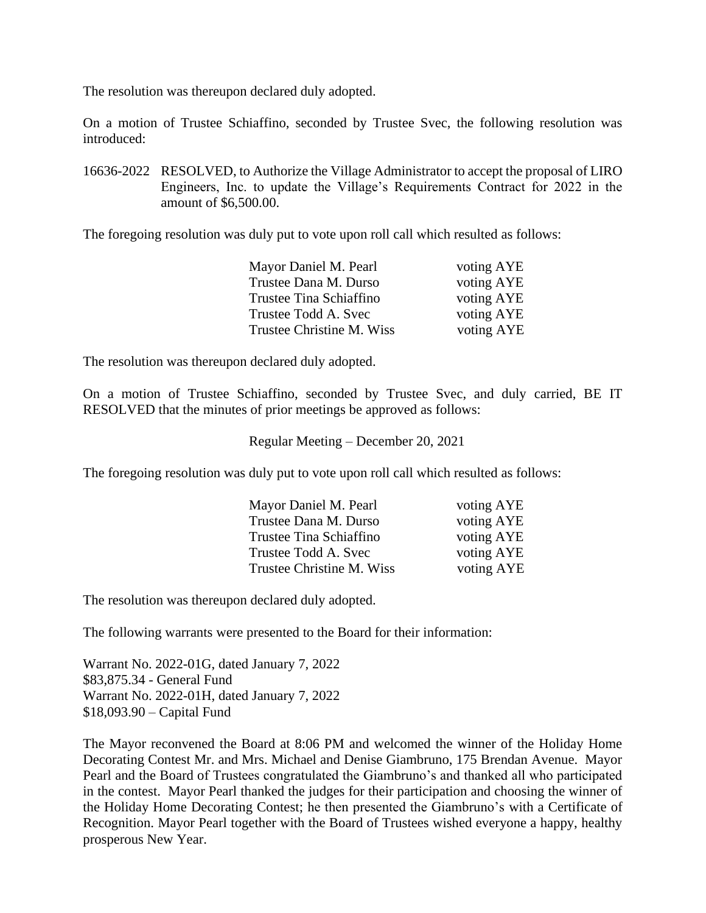The resolution was thereupon declared duly adopted.

 On a motion of Trustee Schiaffino, seconded by Trustee Svec, the following resolution was introduced:

 16636-2022 RESOLVED, to Authorize the Village Administrator to accept the proposal of LIRO Engineers, Inc. to update the Village's Requirements Contract for 2022 in the amount of \$6,500.00.

The foregoing resolution was duly put to vote upon roll call which resulted as follows:

| Mayor Daniel M. Pearl     | voting AYE |
|---------------------------|------------|
| Trustee Dana M. Durso     | voting AYE |
| Trustee Tina Schiaffino   | voting AYE |
| Trustee Todd A. Svec      | voting AYE |
| Trustee Christine M. Wiss | voting AYE |

The resolution was thereupon declared duly adopted.

 On a motion of Trustee Schiaffino, seconded by Trustee Svec, and duly carried, BE IT RESOLVED that the minutes of prior meetings be approved as follows:

Regular Meeting – December 20, 2021

The foregoing resolution was duly put to vote upon roll call which resulted as follows:

| Mayor Daniel M. Pearl     | voting AYE |
|---------------------------|------------|
| Trustee Dana M. Durso     | voting AYE |
| Trustee Tina Schiaffino   | voting AYE |
| Trustee Todd A. Svec      | voting AYE |
| Trustee Christine M. Wiss | voting AYE |

The resolution was thereupon declared duly adopted.

The following warrants were presented to the Board for their information:

Warrant No. 2022-01G, dated January 7, 2022 \$83,875.34 - General Fund Warrant No. 2022-01H, dated January 7, 2022 \$18,093.90 – Capital Fund

The Mayor reconvened the Board at 8:06 PM and welcomed the winner of the Holiday Home Decorating Contest Mr. and Mrs. Michael and Denise Giambruno, 175 Brendan Avenue. Mayor Pearl and the Board of Trustees congratulated the Giambruno's and thanked all who participated in the contest. Mayor Pearl thanked the judges for their participation and choosing the winner of the Holiday Home Decorating Contest; he then presented the Giambruno's with a Certificate of Recognition. Mayor Pearl together with the Board of Trustees wished everyone a happy, healthy prosperous New Year.